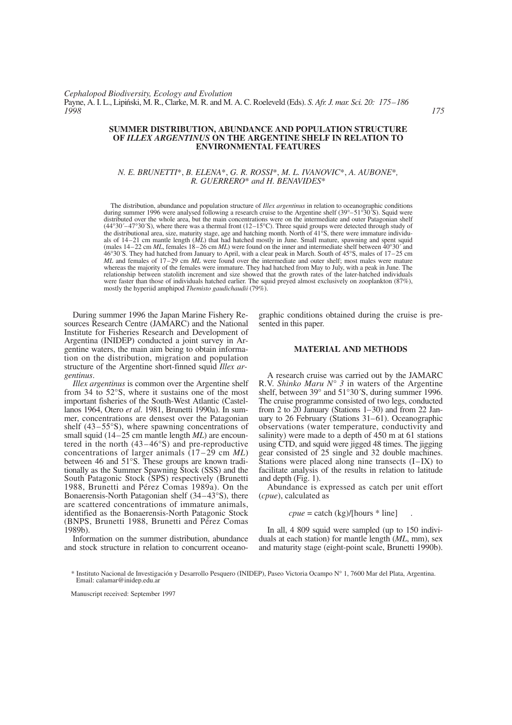#### **SUMMER DISTRIBUTION, ABUNDANCE AND POPULATION STRUCTURE OF** *ILLEX ARGENTINUS* **ON THE ARGENTINE SHELF IN RELATION TO ENVIRONMENTAL FEATURES**

# *N. E. BRUNETTI*\*, *B. ELENA*\*, *G. R. ROSSI*\*, *M. L. IVANOVIC*\*, *A. AUBONE*\**, R. GUERRERO*\* *and H. BENAVIDES*\*

The distribution, abundance and population structure of *Illex argentinus* in relation to oceanographic conditions during summer 1996 were analysed following a research cruise to the Argentine shelf (39°–51°30<sup>′</sup>S). Squid were distributed over the whole area, but the main concentrations were on the intermediate and outer Patagonian shelf  $(44°30'–47°30'S)$ , where there was a thermal front  $(12–15°C)$ . Three squid groups were detected through study of the distributional area, size, maturity stage, age and hatching month. North of 41°S, there were immature individuals of 14–21 cm mantle length (*ML*) that had hatched mostly in June. Small mature, spawning and spent squid (males  $14-22$  cm *ML*, females  $18-26$  cm *ML*) were found on the inner and intermediate shelf between  $40^{\circ}30'$  and 46°30´S. They had hatched from January to April, with a clear peak in March. South of 45°S, males of 17–25 cm *ML* and females of 17–29 cm *ML* were found over the intermediate and outer shelf; most males were mature whereas the majority of the females were immature. They had hatched from May to July, with a peak in June. The relationship between statolith increment and size showed that the growth rates of the later-hatched individuals were faster than those of individuals hatched earlier. The squid preyed almost exclusively on zooplankton (87%), mostly the hyperiid amphipod *Themisto gaudichaudii* (79%).

During summer 1996 the Japan Marine Fishery Resources Research Centre (JAMARC) and the National Institute for Fisheries Research and Development of Argentina (INIDEP) conducted a joint survey in Argentine waters, the main aim being to obtain information on the distribution, migration and population structure of the Argentine short-finned squid *Illex argentinus*.

*Illex argentinus* is common over the Argentine shelf from 34 to 52°S, where it sustains one of the most important fisheries of the South-West Atlantic (Castellanos 1964, Otero *et al*. 1981, Brunetti 1990a). In summer, concentrations are densest over the Patagonian shelf (43–55°S), where spawning concentrations of small squid (14–25 cm mantle length *ML*) are encountered in the north  $(43-46°S)$  and pre-reproductive concentrations of larger animals (17–29 cm *ML*) between 46 and 51°S. These groups are known traditionally as the Summer Spawning Stock (SSS) and the South Patagonic Stock (SPS) respectively (Brunetti 1988, Brunetti and Pérez Comas 1989a). On the Bonaerensis-North Patagonian shelf (34–43°S), there are scattered concentrations of immature animals, identified as the Bonaerensis-North Patagonic Stock (BNPS, Brunetti 1988, Brunetti and Pérez Comas 1989b).

Information on the summer distribution, abundance and stock structure in relation to concurrent oceanographic conditions obtained during the cruise is presented in this paper.

# **MATERIAL AND METHODS**

A research cruise was carried out by the JAMARC R.V. *Shinko Maru N° 3* in waters of the Argentine shelf, between 39° and 51°30´S, during summer 1996. The cruise programme consisted of two legs, conducted from 2 to 20 January (Stations 1–30) and from 22 January to 26 February (Stations 31–61). Oceanographic observations (water temperature, conductivity and salinity) were made to a depth of 450 m at 61 stations using CTD, and squid were jigged 48 times. The jigging gear consisted of 25 single and 32 double machines. Stations were placed along nine transects (I–IX) to facilitate analysis of the results in relation to latitude and depth (Fig. 1).

Abundance is expressed as catch per unit effort (*cpue*), calculated as

$$
cpue = \text{catch (kg)}/[\text{hours} * \text{line}] \quad .
$$

In all, 4 809 squid were sampled (up to 150 individuals at each station) for mantle length (*ML*, mm), sex and maturity stage (eight-point scale, Brunetti 1990b).

Manuscript received: September 1997

<sup>\*</sup> Instituto Nacional de Investigación y Desarrollo Pesquero (INIDEP), Paseo Victoria Ocampo N° 1, 7600 Mar del Plata, Argentina. Email: calamar@inidep.edu.ar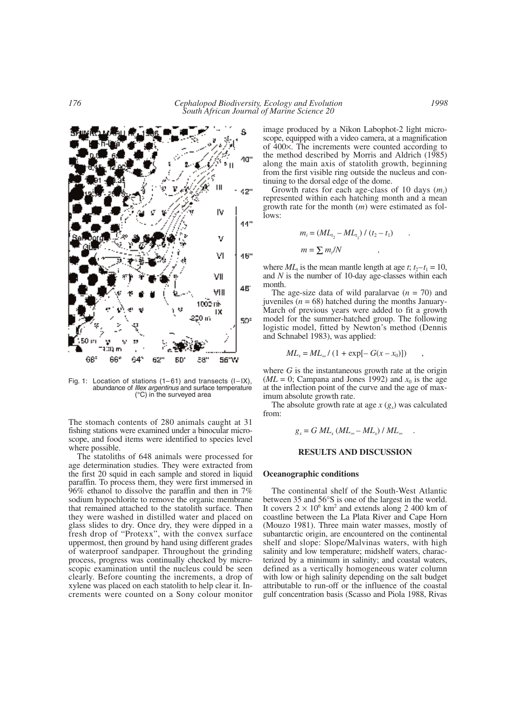

Fig. 1: Location of stations (1–61) and transects (I–IX), abundance of *Illex argentinus* and surface temperature (°C) in the surveyed area

The stomach contents of 280 animals caught at 31 fishing stations were examined under a binocular microscope, and food items were identified to species level where possible.

The statoliths of 648 animals were processed for age determination studies. They were extracted from the first 20 squid in each sample and stored in liquid paraffin. To process them, they were first immersed in 96% ethanol to dissolve the paraffin and then in 7% sodium hypochlorite to remove the organic membrane that remained attached to the statolith surface. Then they were washed in distilled water and placed on glass slides to dry. Once dry, they were dipped in a fresh drop of "Protexx", with the convex surface uppermost, then ground by hand using different grades of waterproof sandpaper. Throughout the grinding process, progress was continually checked by microscopic examination until the nucleus could be seen clearly. Before counting the increments, a drop of xylene was placed on each statolith to help clear it. Increments were counted on a Sony colour monitor

image produced by a Nikon Labophot-2 light microscope, equipped with a video camera, at a magnification of 400×. The increments were counted according to the method described by Morris and Aldrich (1985) along the main axis of statolith growth, beginning from the first visible ring outside the nucleus and continuing to the dorsal edge of the dome.

Growth rates for each age-class of 10 days (*mi* ) represented within each hatching month and a mean growth rate for the month (*m*) were estimated as follows:

$$
m_i = (ML_{t_2} - ML_{t_1}) / (t_2 - t_1) \qquad .
$$
  

$$
m = \sum m_i / N \qquad ,
$$

where  $ML_t$  is the mean mantle length at age *t*;  $t_2-t_1 = 10$ , and *N* is the number of 10-day age-classes within each month.

The age-size data of wild paralarvae  $(n = 70)$  and juveniles  $(n = 68)$  hatched during the months January-March of previous years were added to fit a growth model for the summer-hatched group. The following logistic model, fitted by Newton's method (Dennis and Schnabel 1983), was applied:

$$
ML_x = ML_{\infty} / (1 + \exp[-G(x - x_0)])
$$

where *G* is the instantaneous growth rate at the origin ( $ML = 0$ ; Campana and Jones 1992) and  $x_0$  is the age at the inflection point of the curve and the age of maximum absolute growth rate.

The absolute growth rate at age  $x(g<sub>x</sub>)$  was calculated from:

$$
g_x = G M L_x (M L_\infty - M L_x) / M L_\infty .
$$

### **RESULTS AND DISCUSSION**

#### **Oceanographic conditions**

The continental shelf of the South-West Atlantic between 35 and 56°S is one of the largest in the world. It covers  $2 \times 10^6$  km<sup>2</sup> and extends along 2 400 km of coastline between the La Plata River and Cape Horn (Mouzo 1981). Three main water masses, mostly of subantarctic origin, are encountered on the continental shelf and slope: Slope/Malvinas waters, with high salinity and low temperature; midshelf waters, characterized by a minimum in salinity; and coastal waters, defined as a vertically homogeneous water column with low or high salinity depending on the salt budget attributable to run-off or the influence of the coastal gulf concentration basis (Scasso and Piola 1988, Rivas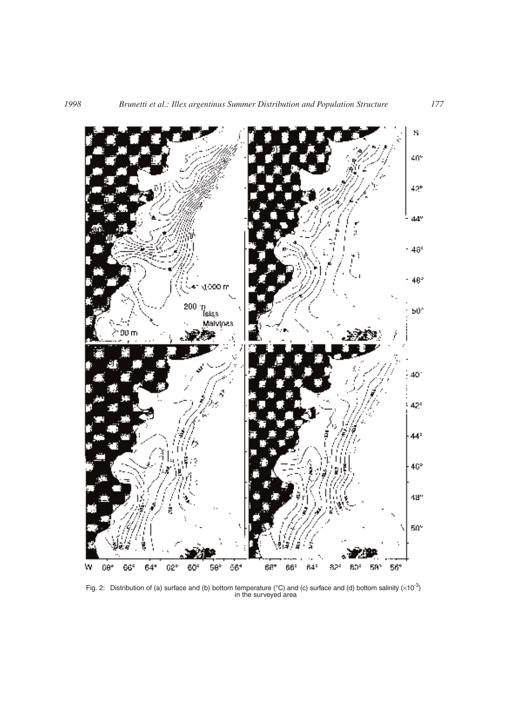

Fig. 2: Distribution of (a) surface and (b) bottom temperature (°C) and (c) surface and (d) bottom salinity ( $\times$ 10<sup>-3</sup>) in the surveyed area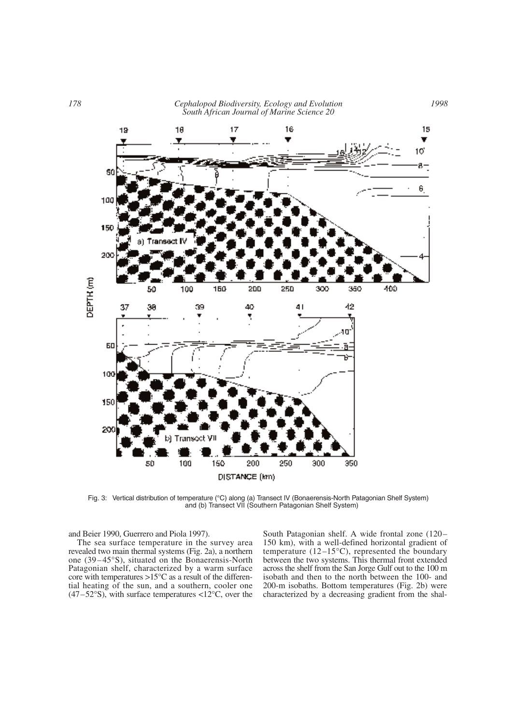*178 Cephalopod Biodiversity, Ecology and Evolution South African Journal of Marine Science 20*



Fig. 3: Vertical distribution of temperature (°C) along (a) Transect IV (Bonaerensis-North Patagonian Shelf System) and (b) Transect VII (Southern Patagonian Shelf System)

and Beier 1990, Guerrero and Piola 1997).

The sea surface temperature in the survey area revealed two main thermal systems (Fig. 2a), a northern one (39–45°S), situated on the Bonaerensis-North Patagonian shelf, characterized by a warm surface core with temperatures  $>15^{\circ}$ C as a result of the differential heating of the sun, and a southern, cooler one  $(47-52°S)$ , with surface temperatures <12°C, over the South Patagonian shelf. A wide frontal zone (120– 150 km), with a well-defined horizontal gradient of temperature (12–15°C), represented the boundary between the two systems. This thermal front extended across the shelf from the San Jorge Gulf out to the 100 m isobath and then to the north between the 100- and 200-m isobaths. Bottom temperatures (Fig. 2b) were characterized by a decreasing gradient from the shal-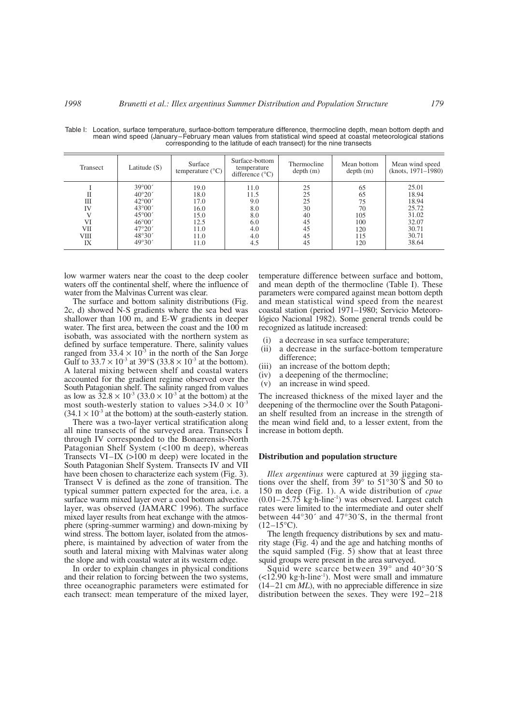| Transect              | Latitude $(S)$                                                                              | Surface<br>temperature $(^{\circ}C)$ | Surface-bottom<br>temperature<br>difference $(^{\circ}C)$ | Thermocline<br>depth(m)    | Mean bottom<br>depth(m)     | Mean wind speed<br>(knots, 1971–1980)     |
|-----------------------|---------------------------------------------------------------------------------------------|--------------------------------------|-----------------------------------------------------------|----------------------------|-----------------------------|-------------------------------------------|
| П<br>Ш<br>IV          | $39^{\circ}00'$<br>$40^{\circ}20'$<br>$42^{\circ}00'$<br>$43^{\circ}00'$<br>$45^{\circ}00'$ | 19.0<br>18.0<br>17.0<br>16.0<br>15.0 | 11.0<br>11.5<br>9.0<br>8.0<br>8.0                         | 25<br>25<br>25<br>30<br>40 | 65<br>65<br>75<br>70<br>105 | 25.01<br>18.94<br>18.94<br>25.72<br>31.02 |
| VI<br>VІІ<br>VШ<br>IX | $46^{\circ}00'$<br>$47^{\circ}20'$<br>48°30'<br>49°30'                                      | 12.5<br>11.0<br>11.0<br>11.0         | 6.0<br>4.0<br>4.0<br>4.5                                  | 45<br>45<br>45<br>45       | 100<br>120<br>115<br>120    | 32.07<br>30.71<br>30.71<br>38.64          |

Table I: Location, surface temperature, surface-bottom temperature difference, thermocline depth, mean bottom depth and mean wind speed (January–February mean values from statistical wind speed at coastal meteorological stations corresponding to the latitude of each transect) for the nine transects

low warmer waters near the coast to the deep cooler waters off the continental shelf, where the influence of water from the Malvinas Current was clear.

The surface and bottom salinity distributions (Fig. 2c, d) showed N-S gradients where the sea bed was shallower than 100 m, and E-W gradients in deeper water. The first area, between the coast and the 100 m isobath, was associated with the northern system as defined by surface temperature. There, salinity values ranged from  $33.4 \times 10^{3}$  in the north of the San Jorge Gulf to  $33.7 \times 10^{-3}$  at  $39^{\circ}$ S ( $33.8 \times 10^{-3}$  at the bottom). A lateral mixing between shelf and coastal waters accounted for the gradient regime observed over the South Patagonian shelf. The salinity ranged from values as low as  $32.8 \times 10^{-3}$  (33.0  $\times 10^{-3}$  at the bottom) at the most south-westerly station to values  $>34.0 \times 10^{-3}$  $(34.1 \times 10^{3}$  at the bottom) at the south-easterly station.

There was a two-layer vertical stratification along all nine transects of the surveyed area. Transects I through IV corresponded to the Bonaerensis-North Patagonian Shelf System (<100 m deep), whereas Transects VI–IX (>100 m deep) were located in the South Patagonian Shelf System. Transects IV and VII have been chosen to characterize each system (Fig. 3). Transect V is defined as the zone of transition. The typical summer pattern expected for the area, i.e. a surface warm mixed layer over a cool bottom advective layer, was observed (JAMARC 1996). The surface mixed layer results from heat exchange with the atmosphere (spring-summer warming) and down-mixing by wind stress. The bottom layer, isolated from the atmosphere, is maintained by advection of water from the south and lateral mixing with Malvinas water along the slope and with coastal water at its western edge.

In order to explain changes in physical conditions and their relation to forcing between the two systems, three oceanographic parameters were estimated for each transect: mean temperature of the mixed layer, temperature difference between surface and bottom, and mean depth of the thermocline (Table I). These parameters were compared against mean bottom depth and mean statistical wind speed from the nearest coastal station (period 1971–1980; Servicio Meteorológico Nacional 1982). Some general trends could be recognized as latitude increased:

- (i) a decrease in sea surface temperature;<br>(ii) a decrease in the surface-bottom ter
- a decrease in the surface-bottom temperature difference;
- (iii) an increase of the bottom depth;<br>(iv) a deepening of the thermocline;
- a deepening of the thermocline;
- (v) an increase in wind speed.

The increased thickness of the mixed layer and the deepening of the thermocline over the South Patagonian shelf resulted from an increase in the strength of the mean wind field and, to a lesser extent, from the increase in bottom depth.

#### **Distribution and population structure**

*Illex argentinus* were captured at 39 jigging stations over the shelf, from 39° to 51°30´S and 50 to 150 m deep (Fig. 1). A wide distribution of *cpue*  $(0.01-25.75 \text{ kg/h-line}^{-1})$  was observed. Largest catch rates were limited to the intermediate and outer shelf between 44°30´ and 47°30´S, in the thermal front  $(12–15\textdegree C)$ .

The length frequency distributions by sex and maturity stage (Fig. 4) and the age and hatching months of the squid sampled  $(Fig. 5)$  show that at least three squid groups were present in the area surveyed.

Squid were scarce between 39° and 40°30´S  $($  <12.90 kg·h-line<sup>-1</sup>). Most were small and immature (14–21 cm *ML*), with no appreciable difference in size distribution between the sexes. They were 192–218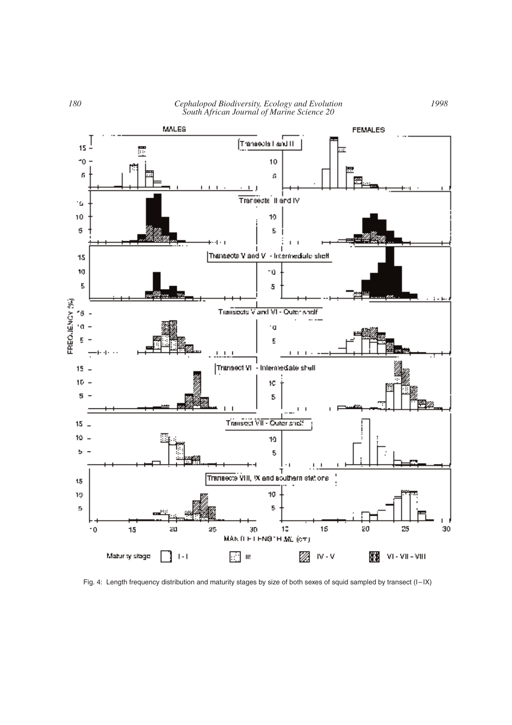

Fig. 4: Length frequency distribution and maturity stages by size of both sexes of squid sampled by transect (I–IX)

*1998*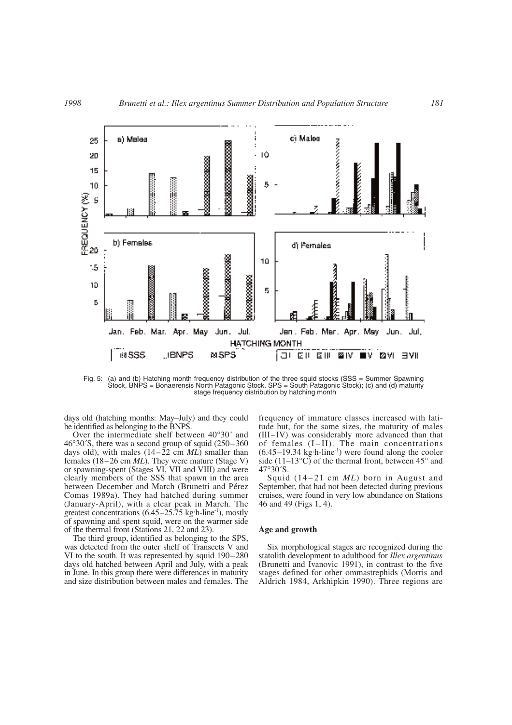

Fig. 5: (a) and (b) Hatching month frequency distribution of the three squid stocks (SSS = Summer Spawning Stock, BNPS = Bonaerensis North Patagonic Stock, SPS = South Patagonic Stock); (c) and (d) maturity stage frequency distribution by hatching month

days old (hatching months: May–July) and they could be identified as belonging to the BNPS.

Over the intermediate shelf between 40°30´ and 46°30´S, there was a second group of squid (250–360 days old), with males (14–22 cm *ML*) smaller than females (18–26 cm *ML*). They were mature (Stage V) or spawning-spent (Stages VI, VII and VIII) and were clearly members of the SSS that spawn in the area between December and March (Brunetti and Pérez Comas 1989a). They had hatched during summer (January-April), with a clear peak in March. The greatest concentrations  $(6.45-25.75 \text{ kg/h-line}^{-1})$ , mostly of spawning and spent squid, were on the warmer side of the thermal front (Stations 21, 22 and 23).

The third group, identified as belonging to the SPS, was detected from the outer shelf of Transects V and VI to the south. It was represented by squid 190–280 days old hatched between April and July, with a peak in June. In this group there were differences in maturity and size distribution between males and females. The

frequency of immature classes increased with latitude but, for the same sizes, the maturity of males (III–IV) was considerably more advanced than that of females (I–II). The main concentrations (6.45–19.34 kg. h-line-1) were found along the cooler side (11–13 $^{\circ}$ C) of the thermal front, between 45 $^{\circ}$  and 47°30´S.

Squid (14–21 cm *ML*) born in August and September, that had not been detected during previous cruises, were found in very low abundance on Stations 46 and 49 (Figs 1, 4).

## **Age and growth**

Six morphological stages are recognized during the statolith development to adulthood for *Illex argentinus* (Brunetti and Ivanovic 1991), in contrast to the five stages defined for other ommastrephids (Morris and Aldrich 1984, Arkhipkin 1990). Three regions are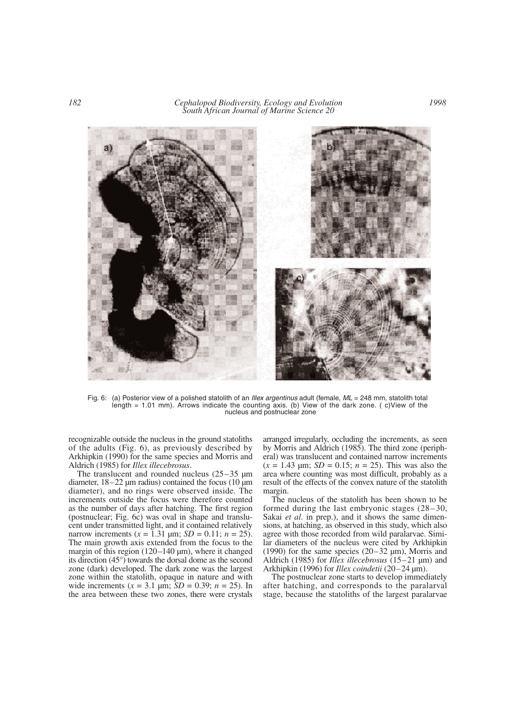*182 Cephalopod Biodiversity, Ecology and Evolution South African Journal of Marine Science 20*



Fig. 6: (a) Posterior view of a polished statolith of an *Illex argentinus* adult (female,  $ML = 248$  mm, statolith total length = 1.01 mm). Arrows indicate the counting axis. (b) View of the dark zone. ( c)View of the nucleus and postnuclear zone

recognizable outside the nucleus in the ground statoliths of the adults (Fig. 6), as previously described by Arkhipkin (1990) for the same species and Morris and Aldrich (1985) for *Illex illecebrosus*.

The translucent and rounded nucleus  $(25-35 \mu m)$ diameter,  $18-22 \mu m$  radius) contained the focus (10  $\mu$ m diameter), and no rings were observed inside. The increments outside the focus were therefore counted as the number of days after hatching. The first region (postnuclear; Fig. 6c) was oval in shape and translucent under transmitted light, and it contained relatively narrow increments  $(x = 1.31 \text{ µm}; SD = 0.11; n = 25)$ . The main growth axis extended from the focus to the margin of this region  $(120-140 \,\mu m)$ , where it changed its direction (45°) towards the dorsal dome as the second zone (dark) developed. The dark zone was the largest zone within the statolith, opaque in nature and with wide increments  $(x = 3.1 \text{ µm}; SD = 0.39; n = 25)$ . In the area between these two zones, there were crystals

arranged irregularly, occluding the increments, as seen by Morris and Aldrich (1985). The third zone (peripheral) was translucent and contained narrow increments  $(x = 1.43 \text{ µm}; SD = 0.15; n = 25)$ . This was also the area where counting was most difficult, probably as a result of the effects of the convex nature of the statolith margin.

The nucleus of the statolith has been shown to be formed during the last embryonic stages (28–30, Sakai *et al*. in prep.), and it shows the same dimensions, at hatching, as observed in this study, which also agree with those recorded from wild paralarvae. Similar diameters of the nucleus were cited by Arkhipkin (1990) for the same species  $(20-32 \text{ µm})$ , Morris and Aldrich (1985) for *Illex illecebrosus* (15–21 µm) and Arkhipkin (1996) for *Illex coindetii* (20–24 µm).

The postnuclear zone starts to develop immediately after hatching, and corresponds to the paralarval stage, because the statoliths of the largest paralarvae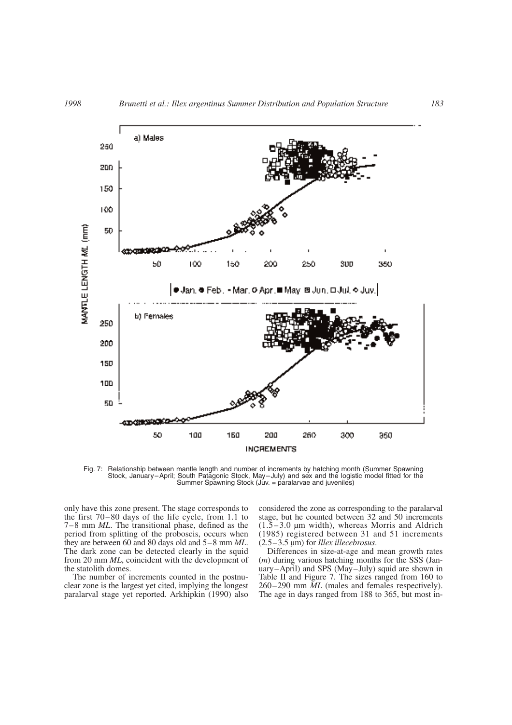

Fig. 7: Relationship between mantle length and number of increments by hatching month (Summer Spawning Stock, January–April; South Patagonic Stock, May–July) and sex and the logistic model fitted for the Summer Spawning Stock (Juv. = paralarvae and juveniles)

only have this zone present. The stage corresponds to the first 70–80 days of the life cycle, from 1.1 to 7–8 mm *ML*. The transitional phase, defined as the period from splitting of the proboscis, occurs when they are between 60 and 80 days old and 5–8 mm *ML*. The dark zone can be detected clearly in the squid from 20 mm *ML*, coincident with the development of the statolith domes.

The number of increments counted in the postnuclear zone is the largest yet cited, implying the longest paralarval stage yet reported. Arkhipkin (1990) also considered the zone as corresponding to the paralarval stage, but he counted between 32 and 50 increments  $(1.5-3.0 \mu m \text{ width})$ , whereas Morris and Aldrich (1985) registered between 31 and 51 increments (2.5–3.5 µm) for *Illex illecebrosus*.

Differences in size-at-age and mean growth rates (*m*) during various hatching months for the SSS (January–April) and SPS (May–July) squid are shown in Table II and Figure 7. The sizes ranged from 160 to 260–290 mm *ML* (males and females respectively). The age in days ranged from 188 to 365, but most in-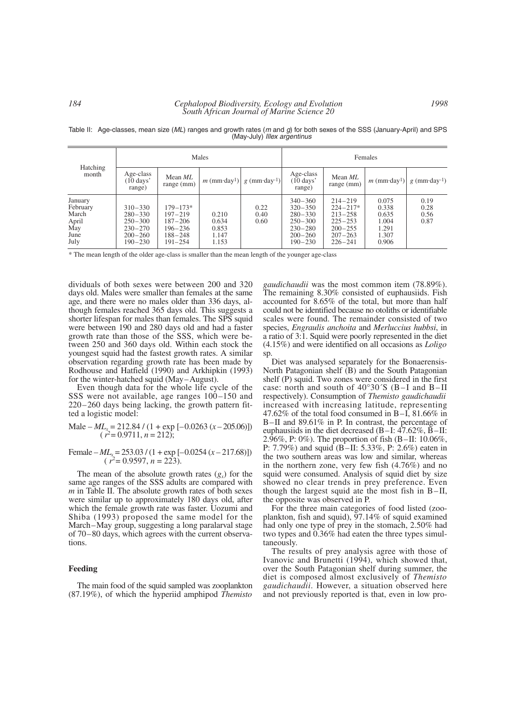#### Hatching Males **Females** month Age-class Mean *ML*  $\begin{array}{c|c} \text{Area} & \text{Mean } ML \\ \text{(10 days)} & \text{range (mm)} \end{array}$   $m \text{ (mm-day<sup>1</sup>)}$   $g \text{ (mm-day<sup>-1</sup>)}$   $\begin{array}{c|c} \text{Age-class} & \text{Mean } ML \\ \text{(10 days)} & \text{range (mm)} \end{array}$  $m \text{ (mm-day1)} | g \text{ (mm-day1)}$ Age-class<br>(10 days' **manume**  $\begin{bmatrix} \text{Mean } ML \\ \text{range} \end{bmatrix}$  *m*(mm·day<sup>1</sup>) day<sup>1</sup>)  $g \text{ (mm-day-1)}$ range) range (mm) January February March April May June July 310–330 280–330 250–300 230–270 200–260 190–230 179–173\* 197–219\* 187–206\* 196–236\* 188–248\*  $191 - 254$ 0.210 0.634 0.853 1.147 1.153 0.22 0.40 0.60 340–360 320–350 280–330  $250 - 300$ 230–280 200–260  $190 - 230$ 214–219 224–217\* 213–258  $225 - 253$ 200–255 207–263  $226 - 241$ 0.075 0.338 0.635 1.004 1.291 1.307 0.906 0.19 0.28 0.56 0.87

Table II: Age-classes, mean size (*ML*) ranges and growth rates (*m* and *g*) for both sexes of the SSS (January-April) and SPS (May-July) *Illex argentinus*

\* The mean length of the older age-class is smaller than the mean length of the younger age-class

dividuals of both sexes were between 200 and 320 days old. Males were smaller than females at the same age, and there were no males older than 336 days, although females reached 365 days old. This suggests a shorter lifespan for males than females. The SPS squid were between 190 and 280 days old and had a faster growth rate than those of the SSS, which were between 250 and 360 days old. Within each stock the youngest squid had the fastest growth rates. A similar observation regarding growth rate has been made by Rodhouse and Hatfield (1990) and Arkhipkin (1993) for the winter-hatched squid (May–August).

Even though data for the whole life cycle of the SSS were not available, age ranges  $100-150$  and 220–260 days being lacking, the growth pattern fitted a logistic model:

Male –  $ML_x = 212.84 / (1 + \exp[-0.0263 (x - 205.06)])$  $(r^2=0.9711, n=212);$ 

Female 
$$
-ML_x = 253.03 / (1 + \exp[-0.0254 (x - 217.68)])
$$
  
( $r^2 = 0.9597, n = 223$ ).

The mean of the absolute growth rates  $(g_x)$  for the same age ranges of the SSS adults are compared with *m* in Table II. The absolute growth rates of both sexes were similar up to approximately 180 days old, after which the female growth rate was faster. Uozumi and Shiba (1993) proposed the same model for the March–May group, suggesting a long paralarval stage of 70–80 days, which agrees with the current observations.

### **Feeding**

The main food of the squid sampled was zooplankton (87.19%), of which the hyperiid amphipod *Themisto* *gaudichaudii* was the most common item (78.89%). The remaining 8.30% consisted of euphausiids. Fish accounted for 8.65% of the total, but more than half could not be identified because no otoliths or identifiable scales were found. The remainder consisted of two species, *Engraulis anchoita* and *Merluccius hubbsi*, in a ratio of 3:1. Squid were poorly represented in the diet (4.15%) and were identified on all occasions as *Loligo* sp.

Diet was analysed separately for the Bonaerensis-North Patagonian shelf (B) and the South Patagonian shelf (P) squid. Two zones were considered in the first case: north and south of 40°30´S (B–I and B–II respectively). Consumption of *Themisto gaudichaudii* increased with increasing latitude, representing 47.62% of the total food consumed in B–I, 81.66% in B–II and 89.61% in P. In contrast, the percentage of euphausiids in the diet decreased (B–I: 47.62%, B–II: 2.96%, P: 0%). The proportion of fish (B–II: 10.06%, P: 7.79%) and squid (B–II: 5.33%, P: 2.6%) eaten in the two southern areas was low and similar, whereas in the northern zone, very few fish (4.76%) and no squid were consumed. Analysis of squid diet by size showed no clear trends in prey preference. Even though the largest squid ate the most fish in B–II, the opposite was observed in P.

For the three main categories of food listed (zooplankton, fish and squid), 97.14% of squid examined had only one type of prey in the stomach, 2.50% had two types and 0.36% had eaten the three types simultaneously.

The results of prey analysis agree with those of Ivanovic and Brunetti (1994), which showed that, over the South Patagonian shelf during summer, the diet is composed almost exclusively of *Themisto gaudichaudii*. However, a situation observed here and not previously reported is that, even in low pro-

*1998*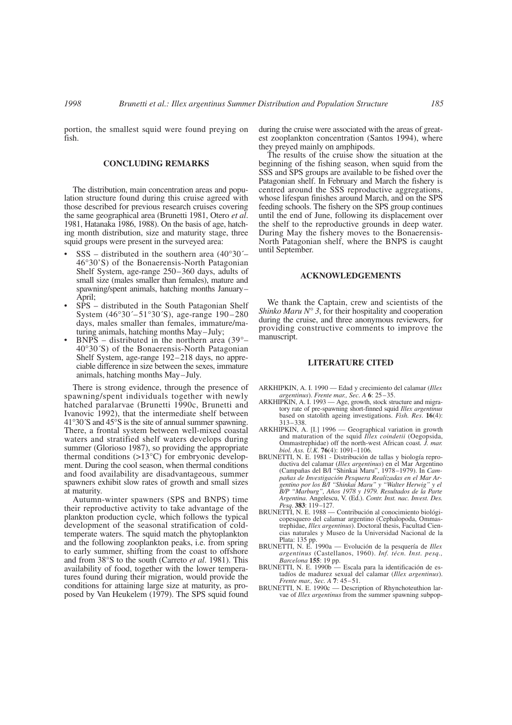portion, the smallest squid were found preying on fish.

# **CONCLUDING REMARKS**

The distribution, main concentration areas and population structure found during this cruise agreed with those described for previous research cruises covering the same geographical area (Brunetti 1981, Otero *et al*. 1981, Hatanaka 1986, 1988). On the basis of age, hatching month distribution, size and maturity stage, three squid groups were present in the surveyed area:

- $SSS distributed$  in the southern area (40°30´– 46°30'S) of the Bonaerensis-North Patagonian Shelf System, age-range 250–360 days, adults of small size (males smaller than females), mature and spawning/spent animals, hatching months January– April;
- SPS distributed in the South Patagonian Shelf System (46°30´–51°30´S), age-range 190–280 days, males smaller than females, immature/maturing animals, hatching months May–July;
- $BNPS distributed$  in the northern area (39 $^{\circ}$  40°30´S) of the Bonaerensis-North Patagonian Shelf System, age-range 192–218 days, no appreciable difference in size between the sexes, immature animals, hatching months May–July.

There is strong evidence, through the presence of spawning/spent individuals together with newly hatched paralarvae (Brunetti 1990c, Brunetti and Ivanovic 1992), that the intermediate shelf between 41°30´S and 45°S is the site of annual summer spawning. There, a frontal system between well-mixed coastal waters and stratified shelf waters develops during summer (Glorioso 1987), so providing the appropriate thermal conditions (>13°C) for embryonic development. During the cool season, when thermal conditions and food availability are disadvantageous, summer spawners exhibit slow rates of growth and small sizes at maturity.

Autumn-winter spawners (SPS and BNPS) time their reproductive activity to take advantage of the plankton production cycle, which follows the typical development of the seasonal stratification of coldtemperate waters. The squid match the phytoplankton and the following zooplankton peaks, i.e. from spring to early summer, shifting from the coast to offshore and from 38°S to the south (Carreto *et al*. 1981). This availability of food, together with the lower temperatures found during their migration, would provide the conditions for attaining large size at maturity, as proposed by Van Heukelem (1979). The SPS squid found during the cruise were associated with the areas of greatest zooplankton concentration (Santos 1994), where they preyed mainly on amphipods.

The results of the cruise show the situation at the beginning of the fishing season, when squid from the SSS and SPS groups are available to be fished over the Patagonian shelf. In February and March the fishery is centred around the SSS reproductive aggregations, whose lifespan finishes around March, and on the SPS feeding schools. The fishery on the SPS group continues until the end of June, following its displacement over the shelf to the reproductive grounds in deep water. During May the fishery moves to the Bonaerensis-North Patagonian shelf, where the BNPS is caught until September.

#### **ACKNOWLEDGEMENTS**

We thank the Captain, crew and scientists of the *Shinko Maru N° 3*, for their hospitality and cooperation during the cruise, and three anonymous reviewers, for providing constructive comments to improve the manuscript.

# **LITERATURE CITED**

- ARKHIPKIN, A. I. 1990 Edad y crecimiento del calamar (*Illex argentinus*). *Frente mar., Sec. A* **6**: 25–35.
- ARKHIPKIN, A. I. 1993 Age, growth, stock structure and migratory rate of pre-spawning short-finned squid *Illex argentinus* based on statolith ageing investigations. *Fish. Res*. **16**(4): 313–338.
- ARKHIPKIN, A. [I.] 1996 Geographical variation in growth and maturation of the squid *Illex coindetii* (Oegopsida, Ommastrephidae) off the north-west African coast*. J. mar. biol. Ass. U.K.* **76**(4): 1091–1106.
- BRUNETTI, N. E. 1981 Distribución de tallas y biología reproductiva del calamar (*Illex argentinus*) en el Mar Argentino (Campañas del B/I "Shinkai Maru", 1978–1979). In *Campañas de Investigación Pesquera Realizadas en el Mar Argentino por los B/I "Shinkai Maru" y "Walter Herwig" y el B/P "Marburg", Años 1978 y 1979. Resultados de la Parte Argentina*. Angelescu, V. (Ed.). *Contr. Inst. nac. Invest. Des. Pesq*. **383**: 119–127.
- BRUNETTI, N. E. 1988 Contribución al conocimiento biológicopesquero del calamar argentino (Cephalopoda, Ommas-trephidae, *Illex argentinus*). Doctoral thesis, Facultad Ciencias naturales y Museo de la Universidad Nacional de la
- Plata: 135 pp. BRUNETTI, N. E. 1990a Evolución de la pesquería de *Illex argentinus* (Castellanos, 1960). *Inf. técn. Inst. pesq., Barcelona* **155**: 19 pp.
- BRUNETTI, N. E. 1990b Escala para la identificación de estadíos de madurez sexual del calamar (*Illex argentinus*). *Frente mar., Sec. A* **7**: 45–51.
- BRUNETTI, N. E. 1990c Description of Rhynchoteuthion larvae of *Illex argentinus* from the summer spawning subpop-